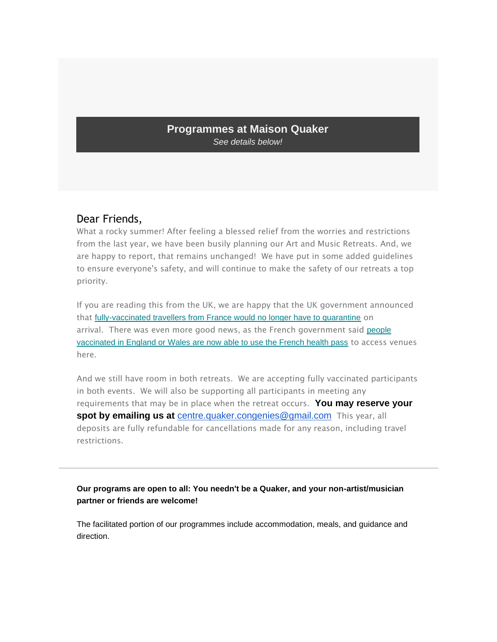## **Programmes at Maison Quaker** *See details below!*

# Dear Friends,

What a rocky summer! After feeling a blessed relief from the worries and restrictions from the last year, we have been busily planning our Art and Music Retreats. And, we are happy to report, that remains unchanged! We have put in some added guidelines to ensure everyone's safety, and will continue to make the safety of our retreats a top priority.

If you are reading this from the UK, we are happy that the UK government announced that [fully-vaccinated travellers from France would no longer have to quarantine](https://maison-quaker-congenies.us6.list-manage.com/track/click?u=e4ef91ca41c009452a483ca34&id=cf8c4d8054&e=1a416e40fb) on arrival. There was even more good news, as the French government said people [vaccinated in England or Wales are now able to use the French health pass](https://maison-quaker-congenies.us6.list-manage.com/track/click?u=e4ef91ca41c009452a483ca34&id=8b23234a9a&e=1a416e40fb) to access venues here.

And we still have room in both retreats. We are accepting fully vaccinated participants in both events. We will also be supporting all participants in meeting any requirements that may be in place when the retreat occurs. **You may reserve your spot by emailing us at** [centre.quaker.congenies@gmail.com](mailto:centre.quaker.congenies@gmail.com) This year, all deposits are fully refundable for cancellations made for any reason, including travel restrictions.

### **Our programs are open to all: You needn't be a Quaker, and your non-artist/musician partner or friends are welcome!**

The facilitated portion of our programmes include accommodation, meals, and guidance and direction.